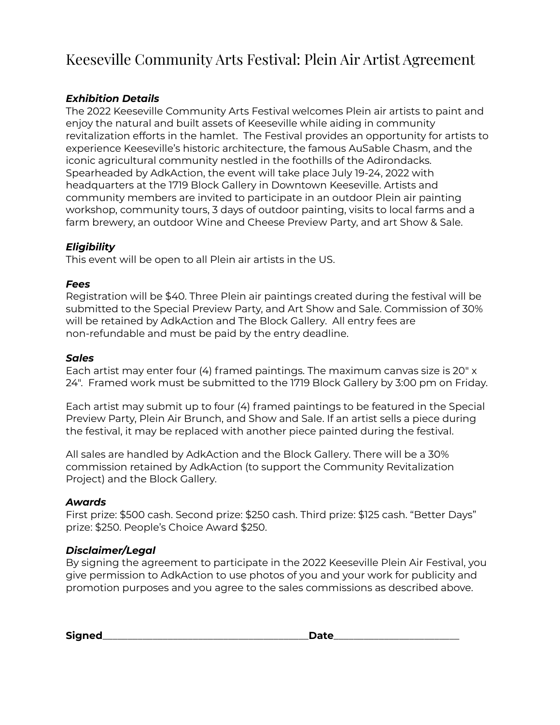# Keeseville Community Arts Festival: Plein Air Artist Agreement

# *Exhibition Details*

The 2022 Keeseville Community Arts Festival welcomes Plein air artists to paint and enjoy the natural and built assets of Keeseville while aiding in community revitalization efforts in the hamlet. The Festival provides an opportunity for artists to experience Keeseville's historic architecture, the famous AuSable Chasm, and the iconic agricultural community nestled in the foothills of the Adirondacks. Spearheaded by AdkAction, the event will take place July 19-24, 2022 with headquarters at the 1719 Block Gallery in Downtown Keeseville. Artists and community members are invited to participate in an outdoor Plein air painting workshop, community tours, 3 days of outdoor painting, visits to local farms and a farm brewery, an outdoor Wine and Cheese Preview Party, and art Show & Sale.

## *Eligibility*

This event will be open to all Plein air artists in the US.

## *Fees*

Registration will be \$40. Three Plein air paintings created during the festival will be submitted to the Special Preview Party, and Art Show and Sale. Commission of 30% will be retained by AdkAction and The Block Gallery. All entry fees are non-refundable and must be paid by the entry deadline.

## *Sales*

Each artist may enter four (4) framed paintings. The maximum canvas size is 20" x 24". Framed work must be submitted to the 1719 Block Gallery by 3:00 pm on Friday.

Each artist may submit up to four (4) framed paintings to be featured in the Special Preview Party, Plein Air Brunch, and Show and Sale. If an artist sells a piece during the festival, it may be replaced with another piece painted during the festival.

All sales are handled by AdkAction and the Block Gallery. There will be a 30% commission retained by AdkAction (to support the Community Revitalization Project) and the Block Gallery.

## *Awards*

First prize: \$500 cash. Second prize: \$250 cash. Third prize: \$125 cash. "Better Days" prize: \$250. People's Choice Award \$250.

## *Disclaimer/Legal*

By signing the agreement to participate in the 2022 Keeseville Plein Air Festival, you give permission to AdkAction to use photos of you and your work for publicity and promotion purposes and you agree to the sales commissions as described above.

**Signed**\_\_\_\_\_\_\_\_\_\_\_\_\_\_\_\_\_\_\_\_\_\_\_\_\_\_\_\_\_\_\_\_\_\_\_\_\_\_\_\_\_**Date**\_\_\_\_\_\_\_\_\_\_\_\_\_\_\_\_\_\_\_\_\_\_\_\_\_